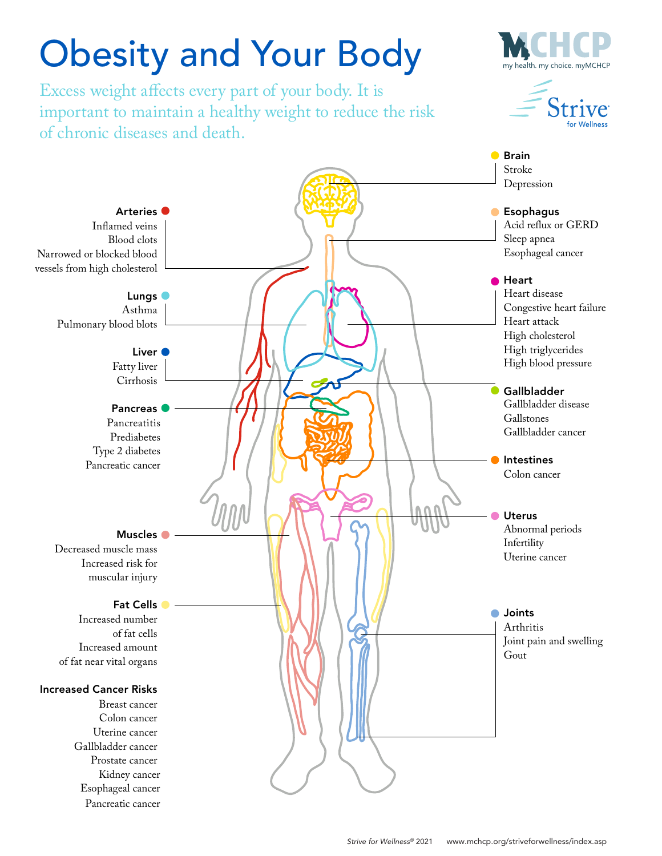